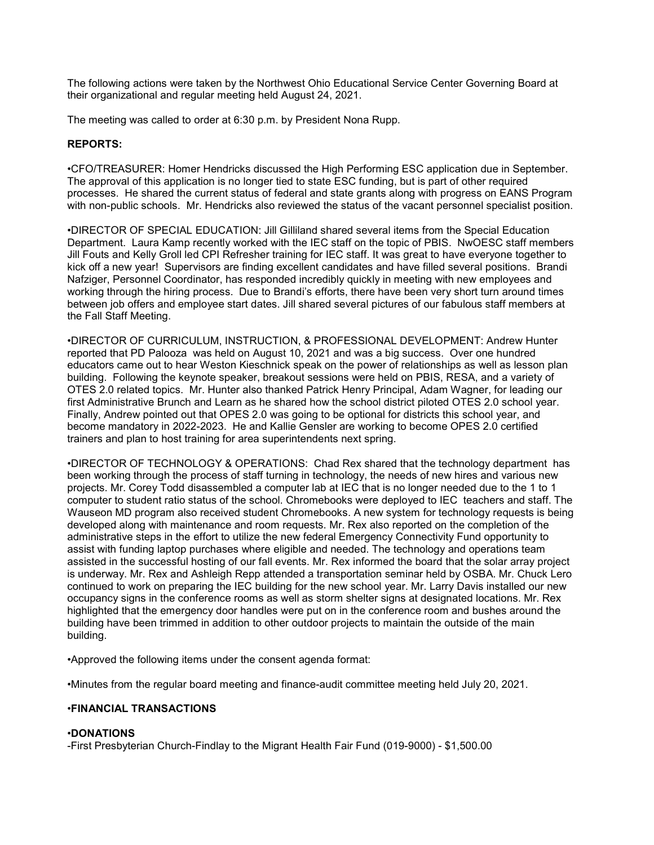The following actions were taken by the Northwest Ohio Educational Service Center Governing Board at their organizational and regular meeting held August 24, 2021.

The meeting was called to order at 6:30 p.m. by President Nona Rupp.

## REPORTS:

•CFO/TREASURER: Homer Hendricks discussed the High Performing ESC application due in September. The approval of this application is no longer tied to state ESC funding, but is part of other required processes. He shared the current status of federal and state grants along with progress on EANS Program with non-public schools. Mr. Hendricks also reviewed the status of the vacant personnel specialist position.

•DIRECTOR OF SPECIAL EDUCATION: Jill Gilliland shared several items from the Special Education Department. Laura Kamp recently worked with the IEC staff on the topic of PBIS. NwOESC staff members Jill Fouts and Kelly Groll led CPI Refresher training for IEC staff. It was great to have everyone together to kick off a new year! Supervisors are finding excellent candidates and have filled several positions. Brandi Nafziger, Personnel Coordinator, has responded incredibly quickly in meeting with new employees and working through the hiring process. Due to Brandi's efforts, there have been very short turn around times between job offers and employee start dates. Jill shared several pictures of our fabulous staff members at the Fall Staff Meeting.

•DIRECTOR OF CURRICULUM, INSTRUCTION, & PROFESSIONAL DEVELOPMENT: Andrew Hunter reported that PD Palooza was held on August 10, 2021 and was a big success. Over one hundred educators came out to hear Weston Kieschnick speak on the power of relationships as well as lesson plan building. Following the keynote speaker, breakout sessions were held on PBIS, RESA, and a variety of OTES 2.0 related topics. Mr. Hunter also thanked Patrick Henry Principal, Adam Wagner, for leading our first Administrative Brunch and Learn as he shared how the school district piloted OTES 2.0 school year. Finally, Andrew pointed out that OPES 2.0 was going to be optional for districts this school year, and become mandatory in 2022-2023. He and Kallie Gensler are working to become OPES 2.0 certified trainers and plan to host training for area superintendents next spring.

•DIRECTOR OF TECHNOLOGY & OPERATIONS: Chad Rex shared that the technology department has been working through the process of staff turning in technology, the needs of new hires and various new projects. Mr. Corey Todd disassembled a computer lab at IEC that is no longer needed due to the 1 to 1 computer to student ratio status of the school. Chromebooks were deployed to IEC teachers and staff. The Wauseon MD program also received student Chromebooks. A new system for technology requests is being developed along with maintenance and room requests. Mr. Rex also reported on the completion of the administrative steps in the effort to utilize the new federal Emergency Connectivity Fund opportunity to assist with funding laptop purchases where eligible and needed. The technology and operations team assisted in the successful hosting of our fall events. Mr. Rex informed the board that the solar array project is underway. Mr. Rex and Ashleigh Repp attended a transportation seminar held by OSBA. Mr. Chuck Lero continued to work on preparing the IEC building for the new school year. Mr. Larry Davis installed our new occupancy signs in the conference rooms as well as storm shelter signs at designated locations. Mr. Rex highlighted that the emergency door handles were put on in the conference room and bushes around the building have been trimmed in addition to other outdoor projects to maintain the outside of the main building.

•Approved the following items under the consent agenda format:

•Minutes from the regular board meeting and finance-audit committee meeting held July 20, 2021.

## •FINANCIAL TRANSACTIONS

## •DONATIONS

-First Presbyterian Church-Findlay to the Migrant Health Fair Fund (019-9000) - \$1,500.00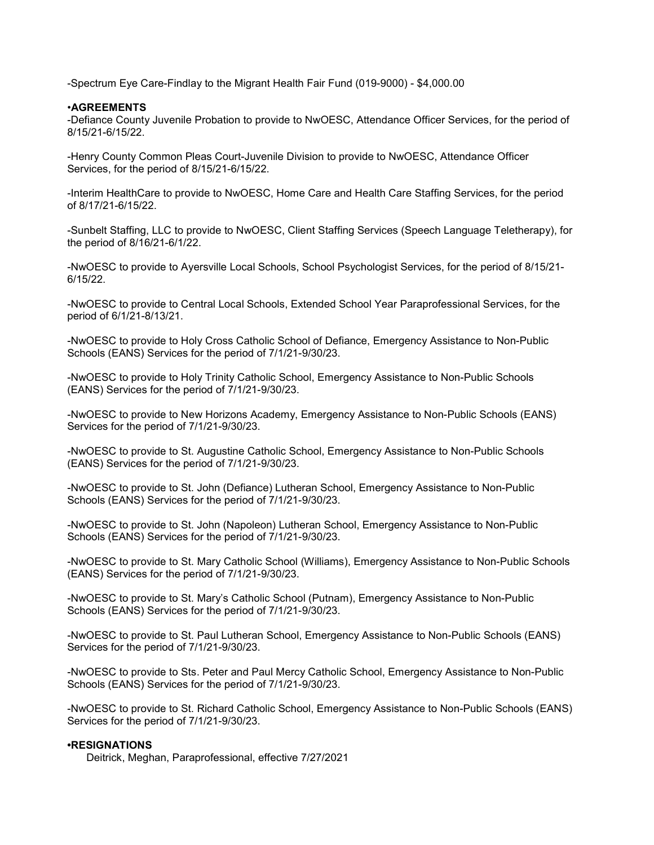-Spectrum Eye Care-Findlay to the Migrant Health Fair Fund (019-9000) - \$4,000.00

### •AGREEMENTS

-Defiance County Juvenile Probation to provide to NwOESC, Attendance Officer Services, for the period of 8/15/21-6/15/22.

-Henry County Common Pleas Court-Juvenile Division to provide to NwOESC, Attendance Officer Services, for the period of 8/15/21-6/15/22.

-Interim HealthCare to provide to NwOESC, Home Care and Health Care Staffing Services, for the period of 8/17/21-6/15/22.

-Sunbelt Staffing, LLC to provide to NwOESC, Client Staffing Services (Speech Language Teletherapy), for the period of 8/16/21-6/1/22.

-NwOESC to provide to Ayersville Local Schools, School Psychologist Services, for the period of 8/15/21- 6/15/22.

-NwOESC to provide to Central Local Schools, Extended School Year Paraprofessional Services, for the period of 6/1/21-8/13/21.

-NwOESC to provide to Holy Cross Catholic School of Defiance, Emergency Assistance to Non-Public Schools (EANS) Services for the period of 7/1/21-9/30/23.

-NwOESC to provide to Holy Trinity Catholic School, Emergency Assistance to Non-Public Schools (EANS) Services for the period of 7/1/21-9/30/23.

-NwOESC to provide to New Horizons Academy, Emergency Assistance to Non-Public Schools (EANS) Services for the period of 7/1/21-9/30/23.

-NwOESC to provide to St. Augustine Catholic School, Emergency Assistance to Non-Public Schools (EANS) Services for the period of 7/1/21-9/30/23.

-NwOESC to provide to St. John (Defiance) Lutheran School, Emergency Assistance to Non-Public Schools (EANS) Services for the period of 7/1/21-9/30/23.

-NwOESC to provide to St. John (Napoleon) Lutheran School, Emergency Assistance to Non-Public Schools (EANS) Services for the period of 7/1/21-9/30/23.

-NwOESC to provide to St. Mary Catholic School (Williams), Emergency Assistance to Non-Public Schools (EANS) Services for the period of 7/1/21-9/30/23.

-NwOESC to provide to St. Mary's Catholic School (Putnam), Emergency Assistance to Non-Public Schools (EANS) Services for the period of 7/1/21-9/30/23.

-NwOESC to provide to St. Paul Lutheran School, Emergency Assistance to Non-Public Schools (EANS) Services for the period of 7/1/21-9/30/23.

-NwOESC to provide to Sts. Peter and Paul Mercy Catholic School, Emergency Assistance to Non-Public Schools (EANS) Services for the period of 7/1/21-9/30/23.

-NwOESC to provide to St. Richard Catholic School, Emergency Assistance to Non-Public Schools (EANS) Services for the period of 7/1/21-9/30/23.

# •RESIGNATIONS

Deitrick, Meghan, Paraprofessional, effective 7/27/2021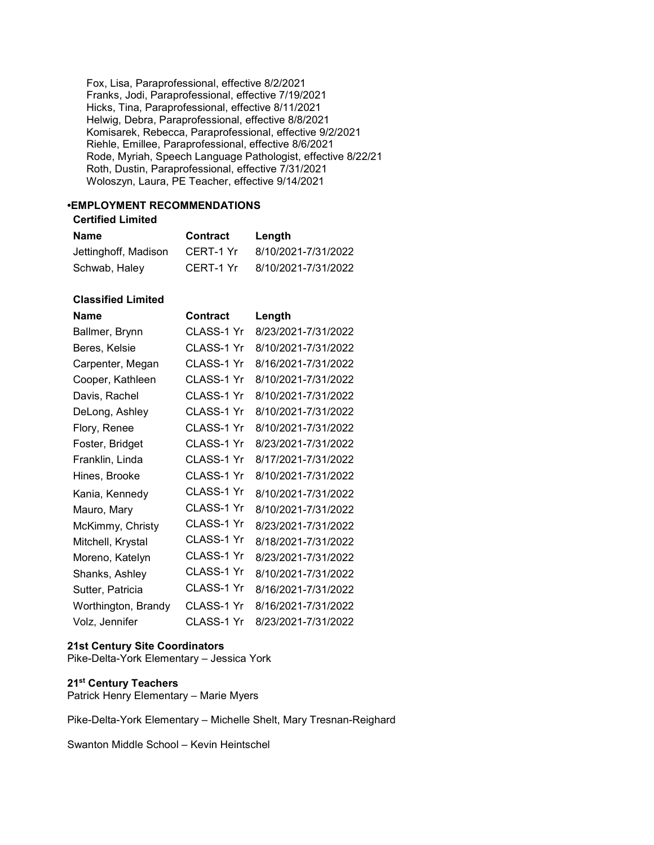Fox, Lisa, Paraprofessional, effective 8/2/2021 Franks, Jodi, Paraprofessional, effective 7/19/2021 Hicks, Tina, Paraprofessional, effective 8/11/2021 Helwig, Debra, Paraprofessional, effective 8/8/2021 Komisarek, Rebecca, Paraprofessional, effective 9/2/2021 Riehle, Emillee, Paraprofessional, effective 8/6/2021 Rode, Myriah, Speech Language Pathologist, effective 8/22/21 Roth, Dustin, Paraprofessional, effective 7/31/2021 Woloszyn, Laura, PE Teacher, effective 9/14/2021

# •EMPLOYMENT RECOMMENDATIONS

## Certified Limited

| Name                 | <b>Contract</b> | Length              |
|----------------------|-----------------|---------------------|
| Jettinghoff, Madison | CERT-1 Yr       | 8/10/2021-7/31/2022 |
| Schwab, Haley        | CERT-1 Yr       | 8/10/2021-7/31/2022 |

# Classified Limited

| <b>Name</b>         | Contract   | Length              |
|---------------------|------------|---------------------|
| Ballmer, Brynn      | CLASS-1 Yr | 8/23/2021-7/31/2022 |
| Beres, Kelsie       | CLASS-1 Yr | 8/10/2021-7/31/2022 |
| Carpenter, Megan    | CLASS-1 Yr | 8/16/2021-7/31/2022 |
| Cooper, Kathleen    | CLASS-1 Yr | 8/10/2021-7/31/2022 |
| Davis, Rachel       | CLASS-1 Yr | 8/10/2021-7/31/2022 |
| DeLong, Ashley      | CLASS-1 Yr | 8/10/2021-7/31/2022 |
| Flory, Renee        | CLASS-1 Yr | 8/10/2021-7/31/2022 |
| Foster, Bridget     | CLASS-1 Yr | 8/23/2021-7/31/2022 |
| Franklin, Linda     | CLASS-1 Yr | 8/17/2021-7/31/2022 |
| Hines, Brooke       | CLASS-1 Yr | 8/10/2021-7/31/2022 |
| Kania, Kennedy      | CLASS-1 Yr | 8/10/2021-7/31/2022 |
| Mauro, Mary         | CLASS-1 Yr | 8/10/2021-7/31/2022 |
| McKimmy, Christy    | CLASS-1 Yr | 8/23/2021-7/31/2022 |
| Mitchell, Krystal   | CLASS-1 Yr | 8/18/2021-7/31/2022 |
| Moreno, Katelyn     | CLASS-1 Yr | 8/23/2021-7/31/2022 |
| Shanks, Ashley      | CLASS-1 Yr | 8/10/2021-7/31/2022 |
| Sutter, Patricia    | CLASS-1 Yr | 8/16/2021-7/31/2022 |
| Worthington, Brandy | CLASS-1 Yr | 8/16/2021-7/31/2022 |
| Volz, Jennifer      | CLASS-1 Yr | 8/23/2021-7/31/2022 |

# 21st Century Site Coordinators

Pike-Delta-York Elementary – Jessica York

# 21st Century Teachers

Patrick Henry Elementary – Marie Myers

Pike-Delta-York Elementary – Michelle Shelt, Mary Tresnan-Reighard

Swanton Middle School – Kevin Heintschel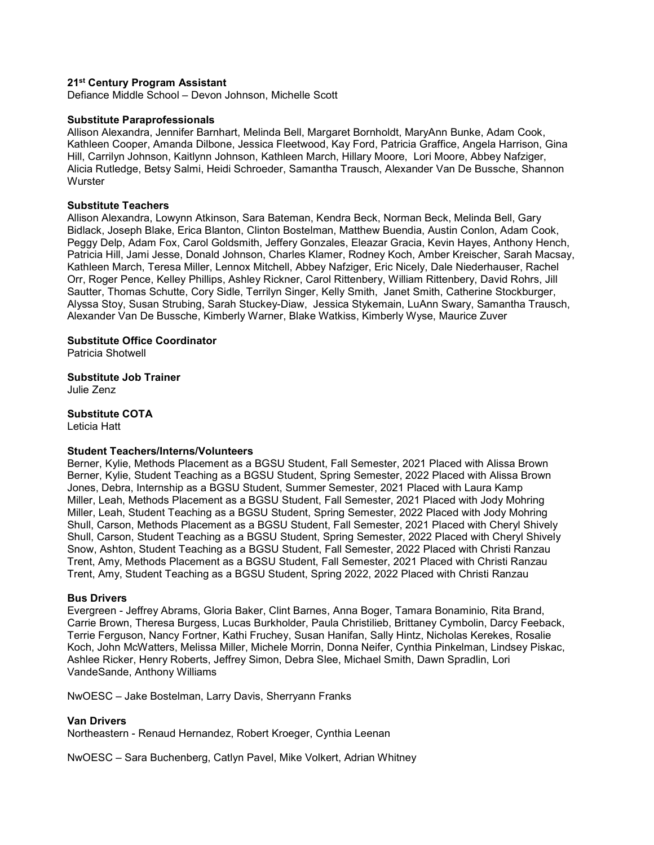### 21<sup>st</sup> Century Program Assistant

Defiance Middle School – Devon Johnson, Michelle Scott

#### Substitute Paraprofessionals

Allison Alexandra, Jennifer Barnhart, Melinda Bell, Margaret Bornholdt, MaryAnn Bunke, Adam Cook, Kathleen Cooper, Amanda Dilbone, Jessica Fleetwood, Kay Ford, Patricia Graffice, Angela Harrison, Gina Hill, Carrilyn Johnson, Kaitlynn Johnson, Kathleen March, Hillary Moore, Lori Moore, Abbey Nafziger, Alicia Rutledge, Betsy Salmi, Heidi Schroeder, Samantha Trausch, Alexander Van De Bussche, Shannon **Wurster** 

#### Substitute Teachers

Allison Alexandra, Lowynn Atkinson, Sara Bateman, Kendra Beck, Norman Beck, Melinda Bell, Gary Bidlack, Joseph Blake, Erica Blanton, Clinton Bostelman, Matthew Buendia, Austin Conlon, Adam Cook, Peggy Delp, Adam Fox, Carol Goldsmith, Jeffery Gonzales, Eleazar Gracia, Kevin Hayes, Anthony Hench, Patricia Hill, Jami Jesse, Donald Johnson, Charles Klamer, Rodney Koch, Amber Kreischer, Sarah Macsay, Kathleen March, Teresa Miller, Lennox Mitchell, Abbey Nafziger, Eric Nicely, Dale Niederhauser, Rachel Orr, Roger Pence, Kelley Phillips, Ashley Rickner, Carol Rittenbery, William Rittenbery, David Rohrs, Jill Sautter, Thomas Schutte, Cory Sidle, Terrilyn Singer, Kelly Smith, Janet Smith, Catherine Stockburger, Alyssa Stoy, Susan Strubing, Sarah Stuckey-Diaw, Jessica Stykemain, LuAnn Swary, Samantha Trausch, Alexander Van De Bussche, Kimberly Warner, Blake Watkiss, Kimberly Wyse, Maurice Zuver

## Substitute Office Coordinator

Patricia Shotwell

#### Substitute Job Trainer

Julie Zenz

## Substitute COTA

Leticia Hatt

#### Student Teachers/Interns/Volunteers

Berner, Kylie, Methods Placement as a BGSU Student, Fall Semester, 2021 Placed with Alissa Brown Berner, Kylie, Student Teaching as a BGSU Student, Spring Semester, 2022 Placed with Alissa Brown Jones, Debra, Internship as a BGSU Student, Summer Semester, 2021 Placed with Laura Kamp Miller, Leah, Methods Placement as a BGSU Student, Fall Semester, 2021 Placed with Jody Mohring Miller, Leah, Student Teaching as a BGSU Student, Spring Semester, 2022 Placed with Jody Mohring Shull, Carson, Methods Placement as a BGSU Student, Fall Semester, 2021 Placed with Cheryl Shively Shull, Carson, Student Teaching as a BGSU Student, Spring Semester, 2022 Placed with Cheryl Shively Snow, Ashton, Student Teaching as a BGSU Student, Fall Semester, 2022 Placed with Christi Ranzau Trent, Amy, Methods Placement as a BGSU Student, Fall Semester, 2021 Placed with Christi Ranzau Trent, Amy, Student Teaching as a BGSU Student, Spring 2022, 2022 Placed with Christi Ranzau

#### Bus Drivers

Evergreen - Jeffrey Abrams, Gloria Baker, Clint Barnes, Anna Boger, Tamara Bonaminio, Rita Brand, Carrie Brown, Theresa Burgess, Lucas Burkholder, Paula Christilieb, Brittaney Cymbolin, Darcy Feeback, Terrie Ferguson, Nancy Fortner, Kathi Fruchey, Susan Hanifan, Sally Hintz, Nicholas Kerekes, Rosalie Koch, John McWatters, Melissa Miller, Michele Morrin, Donna Neifer, Cynthia Pinkelman, Lindsey Piskac, Ashlee Ricker, Henry Roberts, Jeffrey Simon, Debra Slee, Michael Smith, Dawn Spradlin, Lori VandeSande, Anthony Williams

NwOESC – Jake Bostelman, Larry Davis, Sherryann Franks

#### Van Drivers

Northeastern - Renaud Hernandez, Robert Kroeger, Cynthia Leenan

NwOESC – Sara Buchenberg, Catlyn Pavel, Mike Volkert, Adrian Whitney